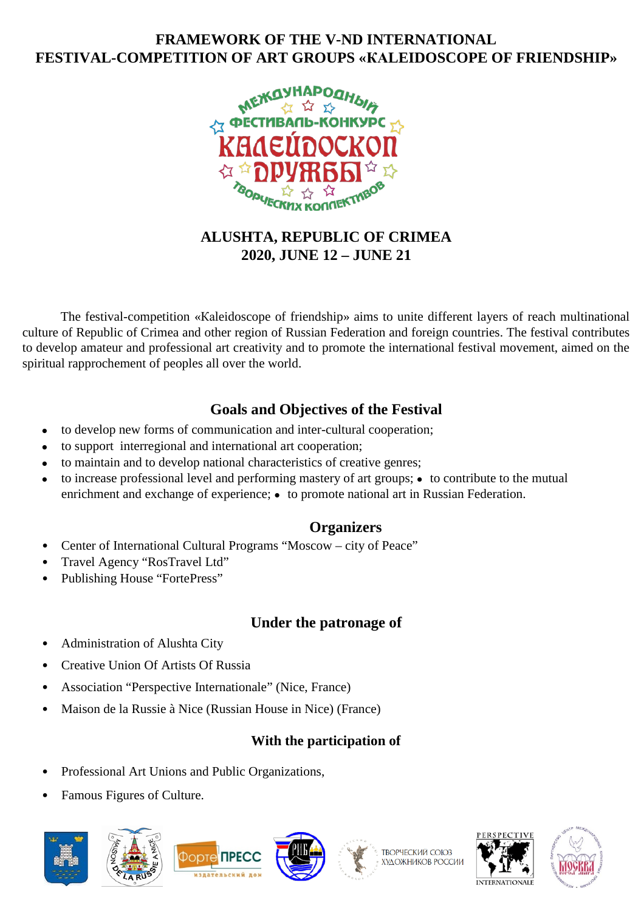# **FRAMEWORK OF THE V-ND INTERNATIONAL FESTIVAL-COMPETITION OF ART GROUPS «КАLEIDOSCOPE OF FRIENDSHIP»**



# **ALUSHTA, REPUBLIC OF CRIMEA 2020, JUNE 12 – JUNE 21**

The festival-competition «Каleidoscope of friendship» aims to unite different layers of reach multinational culture of Republic of Crimea and other region of Russian Federation and foreign countries. The festival contributes to develop amateur and professional art creativity and to promote the international festival movement, aimed on the spiritual rapprochement of peoples all over the world.

# **Goals and Objectives of the Festival**

- to develop new forms of communication and inter-cultural cooperation;
- to support interregional and international art cooperation;
- to maintain and to develop national characteristics of creative genres;
- $\bullet$  to increase professional level and performing mastery of art groups;  $\bullet$  to contribute to the mutual enrichment and exchange of experience; • to promote national art in Russian Federation.

## **Organizers**

- Center of International Cultural Programs "Moscow city of Peace"
- Travel Agency "RosTravel Ltd"
- Publishing House "FortePress"

# **Under the patronage of**

- Administration of Alushta City
- Creative Union Of Artists Of Russia
- Association "Perspective Internationale" (Nice, France)
- Maison de la Russie à Nice (Russian House in Nice) (France)

# **With the participation of**

- Professional Art Unions and Public Organizations,
- Famous Figures of Culture.









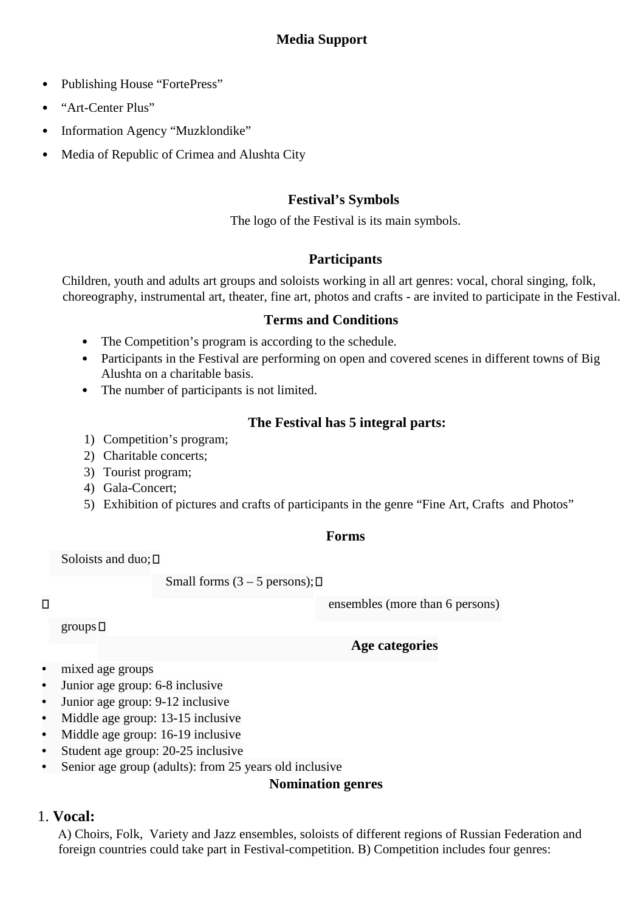## **Media Support**

- Publishing House "FortePress"
- "Art-Center Plus"
- Information Agency "Muzklondike"
- Media of Republic of Crimea and Alushta City

### **Festival's Symbols**

The logo of the Festival is its main symbols.

### **Participants**

Children, youth and adults art groups and soloists working in all art genres: vocal, choral singing, folk, choreography, instrumental art, theater, fine art, photos and crafts - are invited to participate in the Festival.

#### **Terms and Conditions**

- The Competition's program is according to the schedule.
- Participants in the Festival are performing on open and covered scenes in different towns of Big Alushta on a charitable basis.
- The number of participants is not limited.

### **The Festival has 5 integral parts:**

- 1) Competition's program;
- 2) Charitable concerts;
- 3) Tourist program;
- 4) Gala-Concert;
- 5) Exhibition of pictures and crafts of participants in the genre "Fine Art, Crafts and Photos"

#### **Forms**

Soloists and duo; <mark>□</mark>

Small forms  $(3 – 5$  persons);  $\Box$ 

ensembles (more than 6 persons)

 $\Box$ 

groups

## **Age categories**

- mixed age groups
- Junior age group: 6-8 inclusive
- Junior age group: 9-12 inclusive
- Middle age group: 13-15 inclusive
- Middle age group: 16-19 inclusive
- Student age group: 20-25 inclusive
- Senior age group (adults): from 25 years old inclusive

#### **Nomination genres**

## 1. **Vocal:**

А) Choirs, Folk, Variety and Jazz ensembles, soloists of different regions of Russian Federation and foreign countries could take part in Festival-competition. В) Competition includes four genres: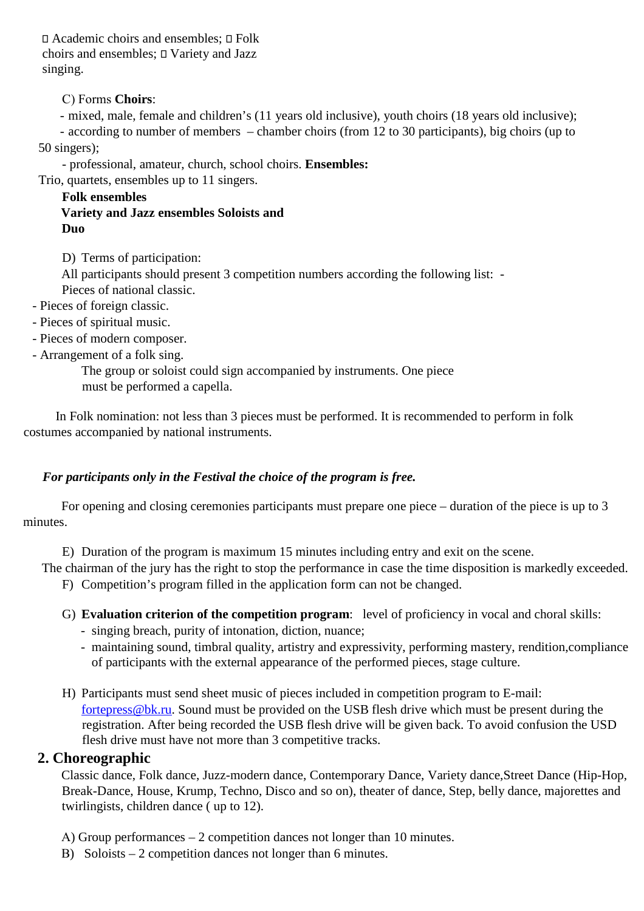$\Box$  Academic choirs and ensembles;  $\Box$  Folk choirs and ensembles;  $\square$  Variety and Jazz singing.

### С) Forms **Choirs**:

- mixed, male, female and children's (11 years old inclusive), youth choirs (18 years old inclusive);

- according to number of members – chamber choirs (from 12 to 30 participants), big choirs (up to 50 singers);

- professional, amateur, church, school choirs. **Ensembles:**

Trio, quartets, ensembles up to 11 singers.

**Folk ensembles Variety and Jazz ensembles Soloists and Duo**

D) Terms of participation:

All participants should present 3 competition numbers according the following list: - Pieces of national classic.

- Pieces of foreign classic.
- Pieces of spiritual music.
- Pieces of modern composer.
- Arrangement of a folk sing.

The group or soloist could sign accompanied by instruments. One piece must be performed a capella.

 In Folk nomination: not less than 3 pieces must be performed. It is recommended to perform in folk costumes accompanied by national instruments.

### *For participants only in the Festival the choice of the program is free.*

For opening and closing ceremonies participants must prepare one piece – duration of the piece is up to 3 minutes.

E) Duration of the program is maximum 15 minutes including entry and exit on the scene.

The chairman of the jury has the right to stop the performance in case the time disposition is markedly exceeded. F) Competition's program filled in the application form can not be changed.

- G) **Evaluation criterion of the competition program**: level of proficiency in vocal and choral skills:
	- singing breach, purity of intonation, diction, nuance;
	- maintaining sound, timbral quality, artistry and expressivity, performing mastery, rendition,compliance of participants with the external appearance of the performed pieces, stage culture.
- H) Participants must send sheet music of pieces included in competition program to E-mail: fortepress@bk.ru. Sound must be provided on the USB flesh drive which must be present during the registration. After being recorded the USB flesh drive will be given back. To avoid confusion the USD flesh drive must have not more than 3 competitive tracks.

### **2. Choreographic**

Classic dance, Folk dance, Juzz-modern dance, Contemporary Dance, Variety dance,Street Dance (Hip-Hop, Break-Dance, House, Krump, Techno, Disco and so on), theater of dance, Step, belly dance, majorettes and twirlingists, children dance ( up to 12).

- А) Group performances 2 competition dances not longer than 10 minutes.
- B) Soloists 2 competition dances not longer than 6 minutes.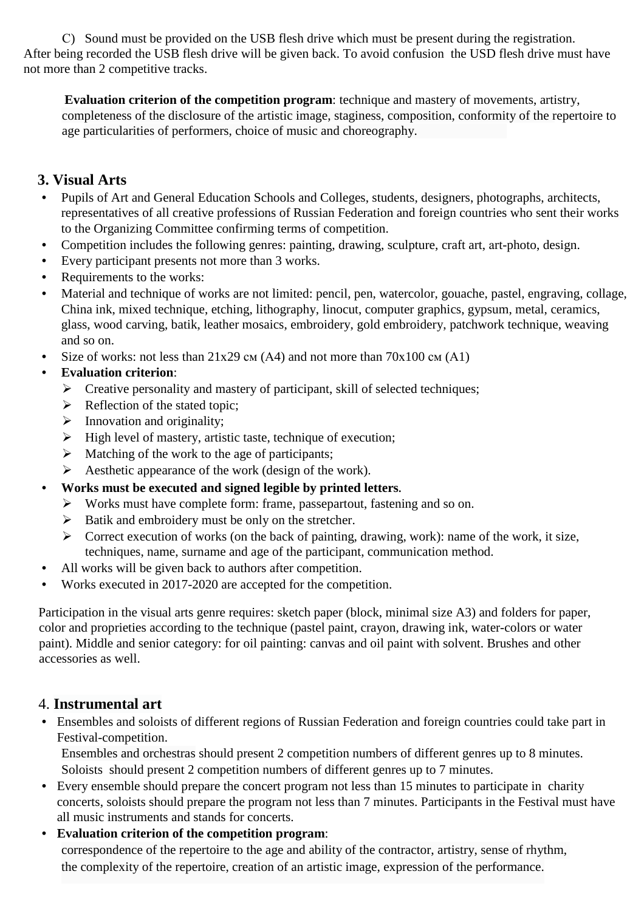С) Sound must be provided on the USB flesh drive which must be present during the registration. After being recorded the USB flesh drive will be given back. To avoid confusion the USD flesh drive must have not more than 2 competitive tracks.

**Evaluation criterion of the competition program**: technique and mastery of movements, artistry, completeness of the disclosure of the artistic image, staginess, composition, conformity of the repertoire to age particularities of performers, choice of music and choreography.

# **3. Visual Arts**

- Pupils of Art and General Education Schools and Colleges, students, designers, photographs, architects, representatives of all creative professions of Russian Federation and foreign countries who sent their works to the Organizing Committee confirming terms of competition.
- Competition includes the following genres: painting, drawing, sculpture, craft art, art-photo, design.
- Every participant presents not more than 3 works.
- Requirements to the works:
- Material and technique of works are not limited: pencil, pen, watercolor, gouache, pastel, engraving, collage, China ink, mixed technique, etching, lithography, linocut, computer graphics, gypsum, metal, ceramics, glass, wood carving, batik, leather mosaics, embroidery, gold embroidery, patchwork technique, weaving and so on.
- Size of works: not less than  $21x29$  cm (A4) and not more than  $70x100$  cm (A1)

## • **Evaluation criterion**:

- $\triangleright$  Creative personality and mastery of participant, skill of selected techniques;
- $\triangleright$  Reflection of the stated topic;
- $\triangleright$  Innovation and originality;
- $\triangleright$  High level of mastery, artistic taste, technique of execution;
- $\triangleright$  Matching of the work to the age of participants;
- $\triangleright$  Aesthetic appearance of the work (design of the work).
- **Works must be executed and signed legible by printed letters.**
	- Works must have complete form: frame, passepartout, fastening and so on.
	- $\triangleright$  Batik and embroidery must be only on the stretcher.
	- $\triangleright$  Correct execution of works (on the back of painting, drawing, work): name of the work, it size, techniques, name, surname and age of the participant, communication method.
- All works will be given back to authors after competition.
- Works executed in 2017-2020 are accepted for the competition.

Participation in the visual arts genre requires: sketch paper (block, minimal size A3) and folders for paper, color and proprieties according to the technique (pastel paint, crayon, drawing ink, water-colors or water paint). Middle and senior category: for oil painting: canvas and oil paint with solvent. Brushes and other accessories as well.

# 4. **Instrumental art**

• Ensembles and soloists of different regions of Russian Federation and foreign countries could take part in Festival-competition.

Ensembles and orchestras should present 2 competition numbers of different genres up to 8 minutes. Soloists should present 2 competition numbers of different genres up to 7 minutes.

• Every ensemble should prepare the concert program not less than 15 minutes to participate in charity concerts, soloists should prepare the program not less than 7 minutes. Participants in the Festival must have all music instruments and stands for concerts.

### • **Evaluation criterion of the competition program**: correspondence of the repertoire to the age and ability of the contractor, artistry, sense of rhythm, the complexity of the repertoire, creation of an artistic image, expression of the performance.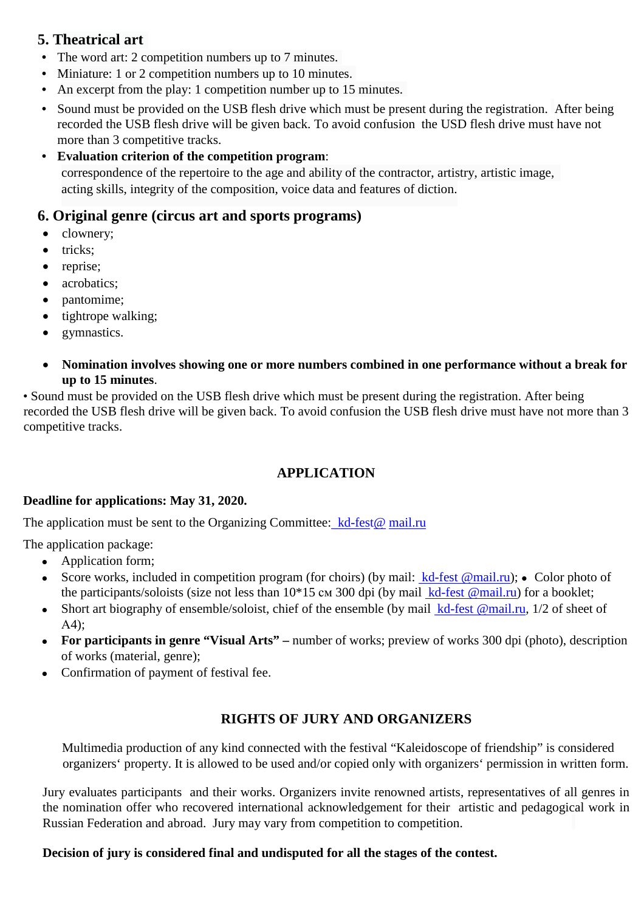# **5. Theatrical art**

- The word art: 2 competition numbers up to 7 minutes.
- Miniature: 1 or 2 competition numbers up to 10 minutes.
- An excerpt from the play: 1 competition number up to 15 minutes.
- Sound must be provided on the USB flesh drive which must be present during the registration. After being recorded the USB flesh drive will be given back. To avoid confusion the USD flesh drive must have not more than 3 competitive tracks.
- **Evaluation criterion of the competition program**: correspondence of the repertoire to the age and ability of the contractor, artistry, artistic image, acting skills, integrity of the composition, voice data and features of diction.

# **6. Original genre (circus art and sports programs)**

- clownery;
- tricks;
- reprise;
- acrobatics;
- pantomime;
- tightrope walking;
- gymnastics.
- **Nomination involves showing one or more numbers combined in one performance without a break for up to 15 minutes**.

• Sound must be provided on the USB flesh drive which must be present during the registration. After being recorded the USB flesh drive will be given back. To avoid confusion the USB flesh drive must have not more than 3 competitive tracks.

## **APPLICATION**

### **Deadline for applications: May 31, 2020.**

The application must be sent to the Organizing Committee: kd-fest@ mail.ru

The application package:

- Application form;
- Score works, included in competition program (for choirs) (by mail:  $kd$ -fest @mail.ru); Color photo of the participants/soloists (size not less than  $10*15$  cm 300 dpi (by mail  $kd$ -fest @mail.ru) for a booklet;
- Short art biography of ensemble/soloist, chief of the ensemble (by mail  $kd$ -fest @mail.ru, 1/2 of sheet of А4);
- **For participants in genre "Visual Arts" –** number of works; preview of works 300 dpi (photo), description of works (material, genre);
- Confirmation of payment of festival fee.

### **RIGHTS OF JURY AND ORGANIZERS**

Multimedia production of any kind connected with the festival "Kaleidoscope of friendship" is considered organizers' property. It is allowed to be used and/or copied only with organizers' permission in written form.

Jury evaluates participants and their works. Organizers invite renowned artists, representatives of all genres in the nomination offer who recovered international acknowledgement for their artistic and pedagogical work in Russian Federation and abroad. Jury may vary from competition to competition.

#### **Decision of jury is considered final and undisputed for all the stages of the contest.**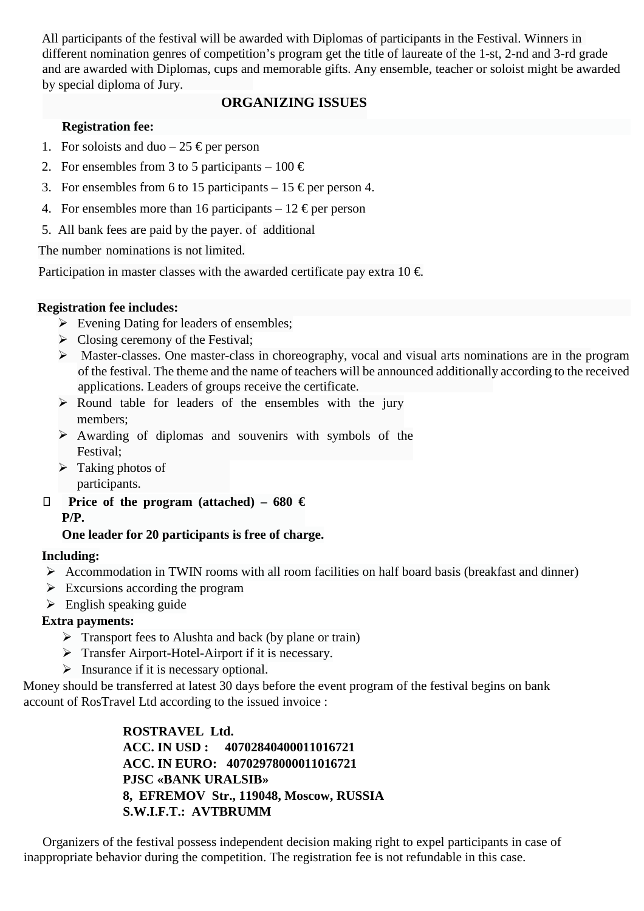All participants of the festival will be awarded with Diplomas of participants in the Festival. Winners in different nomination genres of competition's program get the title of laureate of the 1-st, 2-nd and 3-rd grade and are awarded with Diplomas, cups and memorable gifts. Any ensemble, teacher or soloist might be awarded by special diploma of Jury.

### **ORGANIZING ISSUES**

### **Registration fee:**

- 1. For soloists and duo 25  $\epsilon$  per person
- 2. For ensembles from 3 to 5 participants 100  $\in$
- 3. For ensembles from 6 to 15 participants 15  $\epsilon$  per person 4.
- 4. For ensembles more than 16 participants 12  $\epsilon$  per person
- 5. All bank fees are paid by the payer. оf additional

The number nominations is not limited.

Participation in master classes with the awarded certificate pay extra  $10 \in$ 

#### **Registration fee includes:**

- $\triangleright$  Evening Dating for leaders of ensembles;
- $\triangleright$  Closing ceremony of the Festival;
- Master-classes. One master-class in choreography, vocal and visual arts nominations are in the program of the festival. The theme and the name of teachers will be announced additionally according to the received applications. Leaders of groups receive the certificate.
- $\triangleright$  Round table for leaders of the ensembles with the jury members;
- Awarding of diplomas and souvenirs with symbols of the Festival;
- $\triangleright$  Taking photos of participants.
- **Price of the program (attached) – 680 € P/P.**

### **One leader for 20 participants is free of charge.**

#### **Including:**

- $\triangleright$  Accommodation in TWIN rooms with all room facilities on half board basis (breakfast and dinner)
- $\triangleright$  Excursions according the program
- $\triangleright$  English speaking guide

### **Extra payments:**

- $\triangleright$  Transport fees to Alushta and back (by plane or train)
- > Transfer Airport-Hotel-Airport if it is necessary.
- $\triangleright$  Insurance if it is necessary optional.

Money should be transferred at latest 30 days before the event program of the festival begins on bank account of RosTravel Ltd according to the issued invoice :

> **ROSTRAVEL Ltd. ACC. IN USD : 40702840400011016721 ACC. IN EURO: 40702978000011016721 PJSC «BANK URALSIB» 8, EFREMOV Str., 119048, Moscow, RUSSIA S.W.I.F.T.: AVTBRUMM**

 Organizers of the festival possess independent decision making right to expel participants in case of inappropriate behavior during the competition. The registration fee is not refundable in this case.